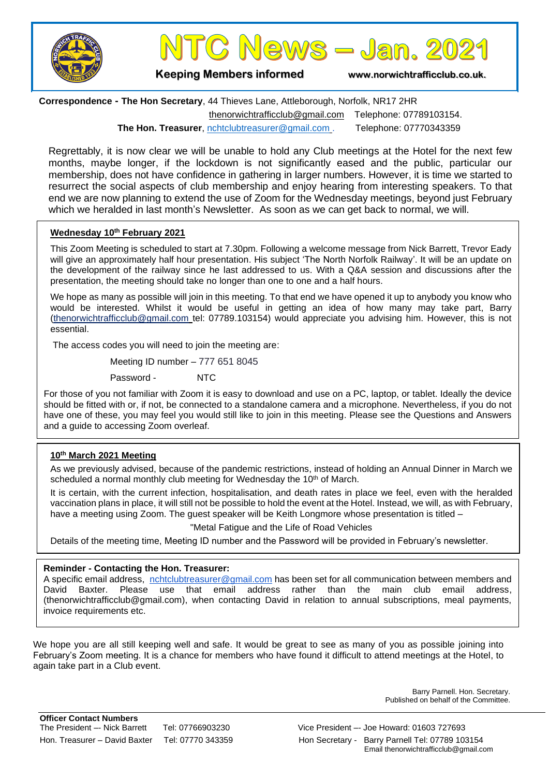



**Keeping Members informed www.norwichtrafficclub.co.uk.**

**Correspondence - The Hon Secretary**, 44 Thieves Lane, Attleborough, Norfolk, NR17 2HR [thenorwichtrafficclub@gmail.com](mailto:thenorwichtrafficclub@gmail.com) Telephone: 07789103154. **The Hon. Treasurer**, [nchtclubtreasurer@gmail.com](mailto:nchtclubtreasurer@gmail.com) . [Telephone:](tel:ephone:) 07770343359

Regrettably, it is now clear we will be unable to hold any Club meetings at the Hotel for the next few months, maybe longer, if the lockdown is not significantly eased and the public, particular our membership, does not have confidence in gathering in larger numbers. However, it is time we started to resurrect the social aspects of club membership and enjoy hearing from interesting speakers. To that end we are now planning to extend the use of Zoom for the Wednesday meetings, beyond just February which we heralded in last month's Newsletter. As soon as we can get back to normal, we will.

#### **Wednesday 10th February 2021**

This Zoom Meeting is scheduled to start at 7.30pm. Following a welcome message from Nick Barrett, Trevor Eady will give an approximately half hour presentation. His subject 'The North Norfolk Railway'. It will be an update on the development of the railway since he last addressed to us. With a Q&A session and discussions after the presentation, the meeting should take no longer than one to one and a half hours.

We hope as many as possible will join in this meeting. To that end we have opened it up to anybody you know who would be interested. Whilst it would be useful in getting an idea of how many may take part, Barry [\(thenorwichtrafficclub@gmail.com](mailto:thenorwichtrafficclub@gmail.com) tel: 07789.103154) would appreciate you advising him. However, this is not essential.

The access codes you will need to join the meeting are:

Meeting ID number – 777 651 8045

Password - NTC

For those of you not familiar with Zoom it is easy to download and use on a PC, laptop, or tablet. Ideally the device should be fitted with or, if not, be connected to a standalone camera and a microphone. Nevertheless, if you do not have one of these, you may feel you would still like to join in this meeting. Please see the Questions and Answers and a guide to accessing Zoom overleaf.

#### **10th March 2021 Meeting**

As we previously advised, because of the pandemic restrictions, instead of holding an Annual Dinner in March we scheduled a normal monthly club meeting for Wednesday the 10<sup>th</sup> of March.

It is certain, with the current infection, hospitalisation, and death rates in place we feel, even with the heralded vaccination plans in place, it will still not be possible to hold the event at the Hotel. Instead, we will, as with February, have a meeting using Zoom. The guest speaker will be Keith Longmore whose presentation is titled –

#### "Metal Fatigue and the Life of Road Vehicles

Details of the meeting time, Meeting ID number and the Password will be provided in February's newsletter.

#### **Reminder - Contacting the Hon. Treasurer:**

A specific email address, [nchtclubtreasurer@gmail.com](mailto:nchtclubtreasurer@gmail.com) has been set for all communication between members and David Baxter. Please use that email address rather than the main club email address, (thenorwichtrafficclub@gmail.com), when contacting David in relation to annual subscriptions, meal payments, invoice requirements etc.

We hope you are all still keeping well and safe. It would be great to see as many of you as possible joining into February's Zoom meeting. It is a chance for members who have found it difficult to attend meetings at the Hotel, to again take part in a Club event.

> Barry Parnell. Hon. Secretary. Published on behalf of the Committee.